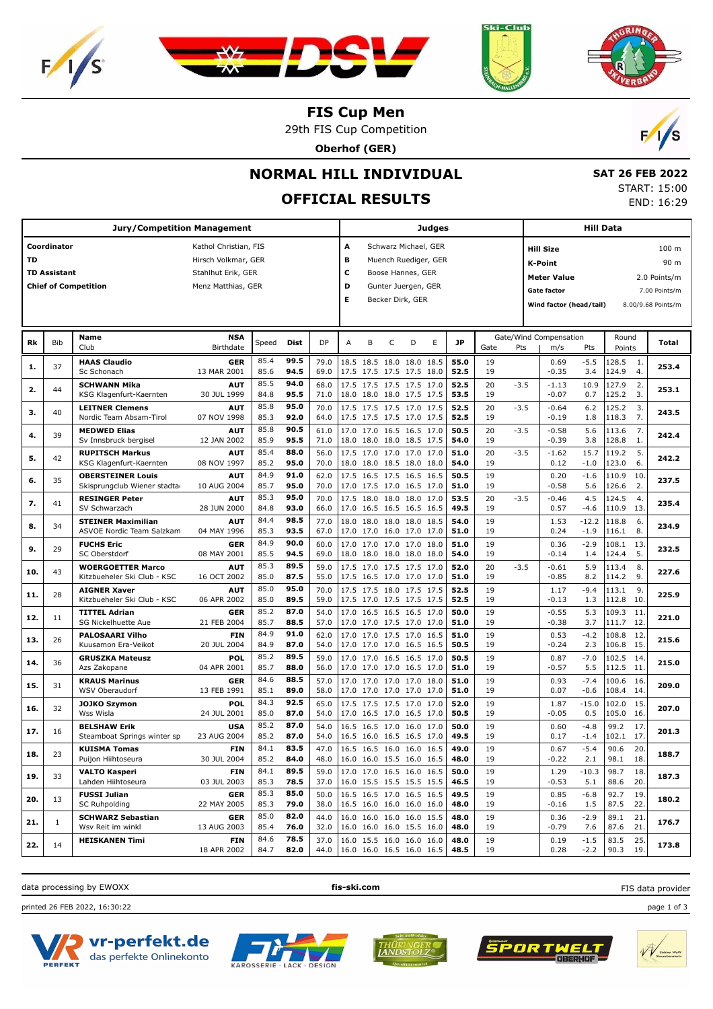







**FIS Cup Men**

29th FIS Cup Competition

**Oberhof (GER)**



# **NORMAL HILL INDIVIDUAL**

# **OFFICIAL RESULTS**

 **SAT 26 FEB 2022** START: 15:00 END: 16:29

|     |                     | <b>Jury/Competition Management</b>             |                           |              |              |              |                          |   |                                                      |   | Judges |              |          |        |                                                                                                                                                                                                                                                                                                                                                                                                                                                                                                                                                                                                                                                                                                                                                                                                                                                                                                                                                                                                                                                                                                                                                                                                                                                                                                                                                                                                                                                                                                                                                                                                 |                  |              |               |              |
|-----|---------------------|------------------------------------------------|---------------------------|--------------|--------------|--------------|--------------------------|---|------------------------------------------------------|---|--------|--------------|----------|--------|-------------------------------------------------------------------------------------------------------------------------------------------------------------------------------------------------------------------------------------------------------------------------------------------------------------------------------------------------------------------------------------------------------------------------------------------------------------------------------------------------------------------------------------------------------------------------------------------------------------------------------------------------------------------------------------------------------------------------------------------------------------------------------------------------------------------------------------------------------------------------------------------------------------------------------------------------------------------------------------------------------------------------------------------------------------------------------------------------------------------------------------------------------------------------------------------------------------------------------------------------------------------------------------------------------------------------------------------------------------------------------------------------------------------------------------------------------------------------------------------------------------------------------------------------------------------------------------------------|------------------|--------------|---------------|--------------|
|     | Coordinator         |                                                | Kathol Christian, FIS     |              |              |              | A                        |   | Schwarz Michael, GER                                 |   |        |              |          |        |                                                                                                                                                                                                                                                                                                                                                                                                                                                                                                                                                                                                                                                                                                                                                                                                                                                                                                                                                                                                                                                                                                                                                                                                                                                                                                                                                                                                                                                                                                                                                                                                 |                  |              |               | 100 m        |
| TD  |                     |                                                | Hirsch Volkmar, GER       |              |              |              | в                        |   | Muench Ruediger, GER                                 |   |        |              |          |        |                                                                                                                                                                                                                                                                                                                                                                                                                                                                                                                                                                                                                                                                                                                                                                                                                                                                                                                                                                                                                                                                                                                                                                                                                                                                                                                                                                                                                                                                                                                                                                                                 |                  |              |               | 90 m         |
|     | <b>TD Assistant</b> |                                                | Stahlhut Erik, GER        |              |              |              | c                        |   | Boose Hannes, GER                                    |   |        |              |          |        |                                                                                                                                                                                                                                                                                                                                                                                                                                                                                                                                                                                                                                                                                                                                                                                                                                                                                                                                                                                                                                                                                                                                                                                                                                                                                                                                                                                                                                                                                                                                                                                                 |                  |              |               |              |
|     |                     | <b>Chief of Competition</b>                    | Menz Matthias, GER        |              |              |              | D                        |   | Gunter Juergen, GER                                  |   |        |              |          |        |                                                                                                                                                                                                                                                                                                                                                                                                                                                                                                                                                                                                                                                                                                                                                                                                                                                                                                                                                                                                                                                                                                                                                                                                                                                                                                                                                                                                                                                                                                                                                                                                 |                  |              |               | 2.0 Points/m |
|     |                     |                                                |                           |              |              |              | Е                        |   |                                                      |   |        |              |          |        | Hill Data<br><b>Hill Size</b><br>K-Point<br>Meter Value<br><b>Gate factor</b><br>Wind factor (head/tail)<br>Round<br>Gate/Wind Compensation<br>Points<br>m/s<br>Pts<br>$-5.5$<br>128.5<br>0.69<br>-1.<br>$-0.35$<br>124.9<br>4.<br>3.4<br>127.9<br>2.<br>$-1.13$<br>10.9<br>125.2<br>3.<br>$-0.07$<br>0.7<br>$-0.64$<br>6.2<br>125.2<br>3.<br>7.<br>$-0.19$<br>1.8<br>118.3<br>5.6<br>7.<br>$-0.58$<br>113.6<br>$-0.39$<br>128.8<br>3.8<br>1.<br>5.<br>15.7<br>119.2<br>$-1.62$<br>123.0<br>6.<br>0.12<br>$-1.0$<br>0.20<br>$-1.6$<br>110.9<br>10.<br>2.<br>$-0.58$<br>5.6<br>126.6<br>$-0.46$<br>4.5<br>124.5<br>4.<br>0.57<br>110.9<br>13.<br>$-4.6$<br>$-12.2$<br>1.53<br>118.8<br>6.<br>116.1<br>8.<br>0.24<br>$-1.9$<br>0.36<br>$-2.9$<br>108.1<br>13.<br>5.<br>124.4<br>$-0.14$<br>1.4<br>$-0.61$<br>5.9<br>113.4<br>8.<br>$-0.85$<br>114.2<br>9.<br>8.2<br>1.17<br>$-9.4$<br>113.1<br>9.<br>$-0.13$<br>112.8<br>10.<br>1.3<br>$-0.55$<br>5.3<br>109.3<br>11.<br>12.<br>$-0.38$<br>3.7<br>111.7<br>0.53<br>$-4.2$<br>108.8<br>12.<br>$-0.24$<br>106.8<br>15.<br>2.3<br>$-7.0$<br>102.5<br>0.87<br>14.<br>$-0.57$<br>5.5<br>112.5<br>11.<br>0.93<br>$-7.4$<br>100.6<br>16.<br>108.4<br>14.<br>0.07<br>$-0.6$<br>$-15.0$<br>102.0<br>15.<br>1.87<br>$-0.05$<br>105.0<br>16.<br>0.5<br>99.2<br>0.60<br>$-4.8$<br>17.<br>17.<br>102.1<br>0.17<br>$-1.4$<br>90.6<br>0.67<br>$-5.4$<br>20.<br>-0.22<br>2.1<br>98.1<br>18.<br>$-10.3$<br>98.7<br>1.29<br>18.<br>$-0.53$<br>88.6<br>20.<br>5.1<br>0.85<br>$-6.8$<br>92.7<br>19.<br>$-0.16$<br>87.5<br>22.<br>1.5<br>0.36<br>$-2.9$<br>89.1<br>21. |                  |              | 7.00 Points/m |              |
|     |                     |                                                |                           |              |              |              |                          |   | Becker Dirk, GER                                     |   |        |              |          |        | 87.6<br>21.<br>$-0.79$<br>7.6                                                                                                                                                                                                                                                                                                                                                                                                                                                                                                                                                                                                                                                                                                                                                                                                                                                                                                                                                                                                                                                                                                                                                                                                                                                                                                                                                                                                                                                                                                                                                                   |                  |              |               |              |
|     |                     |                                                |                           |              |              |              |                          |   |                                                      |   |        |              |          |        | 8.00/9.68 Points/m                                                                                                                                                                                                                                                                                                                                                                                                                                                                                                                                                                                                                                                                                                                                                                                                                                                                                                                                                                                                                                                                                                                                                                                                                                                                                                                                                                                                                                                                                                                                                                              |                  |              |               |              |
|     |                     |                                                |                           |              |              |              |                          |   |                                                      |   |        |              |          |        |                                                                                                                                                                                                                                                                                                                                                                                                                                                                                                                                                                                                                                                                                                                                                                                                                                                                                                                                                                                                                                                                                                                                                                                                                                                                                                                                                                                                                                                                                                                                                                                                 |                  |              |               |              |
| Rk  | Bib                 | Name<br>Club                                   | <b>NSA</b><br>Birthdate   | Speed        | <b>Dist</b>  | <b>DP</b>    | A                        | B | C                                                    | D | E      | <b>JP</b>    | Gate     | Pts    |                                                                                                                                                                                                                                                                                                                                                                                                                                                                                                                                                                                                                                                                                                                                                                                                                                                                                                                                                                                                                                                                                                                                                                                                                                                                                                                                                                                                                                                                                                                                                                                                 |                  |              |               | Total        |
|     |                     |                                                |                           |              |              |              |                          |   |                                                      |   |        |              |          |        |                                                                                                                                                                                                                                                                                                                                                                                                                                                                                                                                                                                                                                                                                                                                                                                                                                                                                                                                                                                                                                                                                                                                                                                                                                                                                                                                                                                                                                                                                                                                                                                                 |                  |              |               |              |
| 1.  | 37                  | <b>HAAS Claudio</b><br>Sc Schonach             | <b>GER</b><br>13 MAR 2001 | 85.4<br>85.6 | 99.5<br>94.5 | 79.0<br>69.0 |                          |   | 18.5 18.5 18.0 18.0 18.5<br>17.5 17.5 17.5 17.5 18.0 |   |        | 55.0<br>52.5 | 19<br>19 |        |                                                                                                                                                                                                                                                                                                                                                                                                                                                                                                                                                                                                                                                                                                                                                                                                                                                                                                                                                                                                                                                                                                                                                                                                                                                                                                                                                                                                                                                                                                                                                                                                 |                  |              |               | 253.4        |
|     |                     |                                                |                           | 85.5         | 94.0         |              |                          |   |                                                      |   |        |              |          |        |                                                                                                                                                                                                                                                                                                                                                                                                                                                                                                                                                                                                                                                                                                                                                                                                                                                                                                                                                                                                                                                                                                                                                                                                                                                                                                                                                                                                                                                                                                                                                                                                 |                  |              |               |              |
| 2.  | 44                  | <b>SCHWANN Mika</b><br>KSG Klagenfurt-Kaernten | <b>AUT</b><br>30 JUL 1999 | 84.8         | 95.5         | 68.0<br>71.0 |                          |   | 17.5 17.5 17.5 17.5 17.0<br>18.0 18.0 18.0 17.5 17.5 |   |        | 52.5<br>53.5 | 20<br>19 | $-3.5$ |                                                                                                                                                                                                                                                                                                                                                                                                                                                                                                                                                                                                                                                                                                                                                                                                                                                                                                                                                                                                                                                                                                                                                                                                                                                                                                                                                                                                                                                                                                                                                                                                 |                  |              |               | 253.1        |
|     |                     | <b>LEITNER Clemens</b>                         | <b>AUT</b>                | 85.8         | 95.0         | 70.0         |                          |   | 17.5 17.5 17.5 17.0 17.5                             |   |        | 52.5         | 20       | $-3.5$ |                                                                                                                                                                                                                                                                                                                                                                                                                                                                                                                                                                                                                                                                                                                                                                                                                                                                                                                                                                                                                                                                                                                                                                                                                                                                                                                                                                                                                                                                                                                                                                                                 |                  |              |               |              |
| З.  | 40                  | Nordic Team Absam-Tirol                        | 07 NOV 1998               | 85.3         | 92.0         | 64.0         |                          |   | 17.5 17.5 17.5 17.0 17.5                             |   |        | 52.5         | 19       |        |                                                                                                                                                                                                                                                                                                                                                                                                                                                                                                                                                                                                                                                                                                                                                                                                                                                                                                                                                                                                                                                                                                                                                                                                                                                                                                                                                                                                                                                                                                                                                                                                 |                  |              |               | 243.5        |
|     |                     | <b>MEDWED Elias</b>                            | <b>AUT</b>                | 85.8         | 90.5         | 61.0         |                          |   | 17.0 17.0 16.5 16.5 17.0                             |   |        | 50.5         | 20       | $-3.5$ |                                                                                                                                                                                                                                                                                                                                                                                                                                                                                                                                                                                                                                                                                                                                                                                                                                                                                                                                                                                                                                                                                                                                                                                                                                                                                                                                                                                                                                                                                                                                                                                                 |                  |              |               |              |
| 4.  | 39                  | Sv Innsbruck bergisel                          | 12 JAN 2002               | 85.9         | 95.5         | 71.0         |                          |   | 18.0 18.0 18.0 18.5 17.5                             |   |        | 54.0         | 19       |        |                                                                                                                                                                                                                                                                                                                                                                                                                                                                                                                                                                                                                                                                                                                                                                                                                                                                                                                                                                                                                                                                                                                                                                                                                                                                                                                                                                                                                                                                                                                                                                                                 |                  |              |               | 242.4        |
|     |                     | <b>RUPITSCH Markus</b>                         | AUT                       | 85.4         | 88.0         | 56.0         |                          |   | 17.5 17.0 17.0 17.0 17.0                             |   |        | 51.0         | 20       | $-3.5$ |                                                                                                                                                                                                                                                                                                                                                                                                                                                                                                                                                                                                                                                                                                                                                                                                                                                                                                                                                                                                                                                                                                                                                                                                                                                                                                                                                                                                                                                                                                                                                                                                 |                  |              |               |              |
| 5.  | 42                  | KSG Klagenfurt-Kaernten                        | 08 NOV 1997               | 85.2         | 95.0         | 70.0         |                          |   | 18.0 18.0 18.5 18.0 18.0                             |   |        | 54.0         | 19       |        |                                                                                                                                                                                                                                                                                                                                                                                                                                                                                                                                                                                                                                                                                                                                                                                                                                                                                                                                                                                                                                                                                                                                                                                                                                                                                                                                                                                                                                                                                                                                                                                                 |                  |              |               | 242.2        |
|     |                     | <b>OBERSTEINER Louis</b>                       | <b>AUT</b>                | 84.9         | 91.0         | 62.0         |                          |   | 17.5 16.5 17.5 16.5 16.5                             |   |        | 50.5         | 19       |        |                                                                                                                                                                                                                                                                                                                                                                                                                                                                                                                                                                                                                                                                                                                                                                                                                                                                                                                                                                                                                                                                                                                                                                                                                                                                                                                                                                                                                                                                                                                                                                                                 |                  |              |               |              |
| 6.  | 35                  | Skisprungclub Wiener stadta                    | 10 AUG 2004               | 85.7         | 95.0         | 70.0         |                          |   | 17.0 17.5 17.0 16.5 17.0                             |   |        | 51.0         | 19       |        |                                                                                                                                                                                                                                                                                                                                                                                                                                                                                                                                                                                                                                                                                                                                                                                                                                                                                                                                                                                                                                                                                                                                                                                                                                                                                                                                                                                                                                                                                                                                                                                                 |                  |              |               | 237.5        |
|     | 41                  | <b>RESINGER Peter</b>                          | <b>AUT</b>                | 85.3         | 95.0         | 70.0         |                          |   | 17.5 18.0 18.0 18.0 17.0                             |   |        | 53.5         | 20       | $-3.5$ |                                                                                                                                                                                                                                                                                                                                                                                                                                                                                                                                                                                                                                                                                                                                                                                                                                                                                                                                                                                                                                                                                                                                                                                                                                                                                                                                                                                                                                                                                                                                                                                                 |                  |              |               | 235.4        |
| 7.  |                     | SV Schwarzach                                  | 28 JUN 2000               | 84.8         | 93.0         | 66.0         |                          |   | 17.0 16.5 16.5 16.5 16.5                             |   |        | 49.5         | 19       |        |                                                                                                                                                                                                                                                                                                                                                                                                                                                                                                                                                                                                                                                                                                                                                                                                                                                                                                                                                                                                                                                                                                                                                                                                                                                                                                                                                                                                                                                                                                                                                                                                 |                  |              |               |              |
| 8.  | 34                  | <b>STEINER Maximilian</b>                      | <b>AUT</b>                | 84.4         | 98.5         | 77.0         |                          |   | 18.0 18.0 18.0 18.0 18.5                             |   |        | 54.0         | 19       |        |                                                                                                                                                                                                                                                                                                                                                                                                                                                                                                                                                                                                                                                                                                                                                                                                                                                                                                                                                                                                                                                                                                                                                                                                                                                                                                                                                                                                                                                                                                                                                                                                 |                  |              |               | 234.9        |
|     |                     | ASVOE Nordic Team Salzkam                      | 04 MAY 1996               | 85.3         | 93.5         | 67.0         |                          |   | 17.0 17.0 16.0 17.0 17.0                             |   |        | 51.0         | 19       |        |                                                                                                                                                                                                                                                                                                                                                                                                                                                                                                                                                                                                                                                                                                                                                                                                                                                                                                                                                                                                                                                                                                                                                                                                                                                                                                                                                                                                                                                                                                                                                                                                 |                  |              |               |              |
| 9.  | 29                  | <b>FUCHS Eric</b>                              | <b>GER</b>                | 84.9         | 90.0         | 60.0         |                          |   | 17.0 17.0 17.0 17.0 18.0                             |   |        | 51.0         | 19       |        |                                                                                                                                                                                                                                                                                                                                                                                                                                                                                                                                                                                                                                                                                                                                                                                                                                                                                                                                                                                                                                                                                                                                                                                                                                                                                                                                                                                                                                                                                                                                                                                                 |                  |              |               | 232.5        |
|     |                     | SC Oberstdorf                                  | 08 MAY 2001               | 85.5         | 94.5         | 69.0         |                          |   | 18.0 18.0 18.0 18.0 18.0                             |   |        | 54.0         | 19       |        |                                                                                                                                                                                                                                                                                                                                                                                                                                                                                                                                                                                                                                                                                                                                                                                                                                                                                                                                                                                                                                                                                                                                                                                                                                                                                                                                                                                                                                                                                                                                                                                                 |                  |              |               |              |
| 10. | 43                  | <b>WOERGOETTER Marco</b>                       | <b>AUT</b>                | 85.3         | 89.5         | 59.0         |                          |   | 17.5 17.0 17.5 17.5 17.0                             |   |        | 52.0         | 20       | $-3.5$ |                                                                                                                                                                                                                                                                                                                                                                                                                                                                                                                                                                                                                                                                                                                                                                                                                                                                                                                                                                                                                                                                                                                                                                                                                                                                                                                                                                                                                                                                                                                                                                                                 |                  |              |               | 227.6        |
|     |                     | Kitzbueheler Ski Club - KSC                    | 16 OCT 2002               | 85.0         | 87.5         | 55.0         |                          |   | 17.5 16.5 17.0 17.0 17.0                             |   |        | 51.0         | 19       |        |                                                                                                                                                                                                                                                                                                                                                                                                                                                                                                                                                                                                                                                                                                                                                                                                                                                                                                                                                                                                                                                                                                                                                                                                                                                                                                                                                                                                                                                                                                                                                                                                 |                  |              |               |              |
| 11. | 28                  | <b>AIGNER Xaver</b>                            | AUT                       | 85.0         | 95.0         | 70.0         |                          |   | 17.5 17.5 18.0 17.5 17.5                             |   |        | 52.5         | 19       |        |                                                                                                                                                                                                                                                                                                                                                                                                                                                                                                                                                                                                                                                                                                                                                                                                                                                                                                                                                                                                                                                                                                                                                                                                                                                                                                                                                                                                                                                                                                                                                                                                 |                  |              |               | 225.9        |
|     |                     | Kitzbueheler Ski Club - KSC                    | 06 APR 2002               | 85.0<br>85.2 | 89.5<br>87.0 | 59.0         |                          |   | 17.5 17.0 17.5 17.5 17.5                             |   |        | 52.5         | 19       |        |                                                                                                                                                                                                                                                                                                                                                                                                                                                                                                                                                                                                                                                                                                                                                                                                                                                                                                                                                                                                                                                                                                                                                                                                                                                                                                                                                                                                                                                                                                                                                                                                 |                  |              |               |              |
| 12. | 11                  | <b>TITTEL Adrian</b><br>SG Nickelhuette Aue    | <b>GER</b><br>21 FEB 2004 | 85.7         | 88.5         | 54.0<br>57.0 |                          |   | 17.0 16.5 16.5 16.5 17.0<br>17.0 17.0 17.5 17.0 17.0 |   |        | 50.0<br>51.0 | 19<br>19 |        |                                                                                                                                                                                                                                                                                                                                                                                                                                                                                                                                                                                                                                                                                                                                                                                                                                                                                                                                                                                                                                                                                                                                                                                                                                                                                                                                                                                                                                                                                                                                                                                                 |                  |              |               | 221.0        |
|     |                     |                                                | <b>FIN</b>                | 84.9         | 91.0         |              |                          |   |                                                      |   |        |              |          |        |                                                                                                                                                                                                                                                                                                                                                                                                                                                                                                                                                                                                                                                                                                                                                                                                                                                                                                                                                                                                                                                                                                                                                                                                                                                                                                                                                                                                                                                                                                                                                                                                 |                  |              |               |              |
| 13. | 26                  | <b>PALOSAARI Vilho</b><br>Kuusamon Era-Veikot  | 20 JUL 2004               | 84.9         | 87.0         | 62.0<br>54.0 |                          |   | 17.0 17.0 17.5 17.0 16.5<br>17.0 17.0 17.0 16.5 16.5 |   |        | 51.0<br>50.5 | 19<br>19 |        |                                                                                                                                                                                                                                                                                                                                                                                                                                                                                                                                                                                                                                                                                                                                                                                                                                                                                                                                                                                                                                                                                                                                                                                                                                                                                                                                                                                                                                                                                                                                                                                                 |                  |              |               | 215.6        |
|     |                     | <b>GRUSZKA Mateusz</b>                         | <b>POL</b>                | 85.2         | 89.5         | 59.0         |                          |   | 17.0 17.0 16.5 16.5 17.0                             |   |        | 50.5         | 19       |        |                                                                                                                                                                                                                                                                                                                                                                                                                                                                                                                                                                                                                                                                                                                                                                                                                                                                                                                                                                                                                                                                                                                                                                                                                                                                                                                                                                                                                                                                                                                                                                                                 |                  |              |               |              |
| 14. | 36                  | Azs Zakopane                                   | 04 APR 2001               | 85.7         | 88.0         | 56.0         |                          |   | 17.0 17.0 17.0 16.5 17.0                             |   |        | 51.0         | 19       |        |                                                                                                                                                                                                                                                                                                                                                                                                                                                                                                                                                                                                                                                                                                                                                                                                                                                                                                                                                                                                                                                                                                                                                                                                                                                                                                                                                                                                                                                                                                                                                                                                 |                  |              |               | 215.0        |
|     |                     | <b>KRAUS Marinus</b>                           | <b>GER</b>                | 84.6         | 88.5         | 57.0         |                          |   | 17.0 17.0 17.0 17.0 18.0                             |   |        | 51.0         | 19       |        |                                                                                                                                                                                                                                                                                                                                                                                                                                                                                                                                                                                                                                                                                                                                                                                                                                                                                                                                                                                                                                                                                                                                                                                                                                                                                                                                                                                                                                                                                                                                                                                                 |                  |              |               |              |
| 15. | 31                  | WSV Oberaudorf                                 | 13 FEB 1991               | 85.1         | 89.0         | 58.0         |                          |   | 17.0 17.0 17.0 17.0                                  |   | 17.0   | 51.0         | 19       |        |                                                                                                                                                                                                                                                                                                                                                                                                                                                                                                                                                                                                                                                                                                                                                                                                                                                                                                                                                                                                                                                                                                                                                                                                                                                                                                                                                                                                                                                                                                                                                                                                 |                  |              |               | 209.0        |
|     |                     | <b>JOJKO Szymon</b>                            | <b>POL</b>                | 84.3         | 92.5         | 65.0         |                          |   | 17.5 17.5 17.5 17.0 17.0                             |   |        | 52.0         | 19       |        |                                                                                                                                                                                                                                                                                                                                                                                                                                                                                                                                                                                                                                                                                                                                                                                                                                                                                                                                                                                                                                                                                                                                                                                                                                                                                                                                                                                                                                                                                                                                                                                                 |                  |              |               |              |
| 16. | 32                  | Wss Wisla                                      | 24 JUL 2001               | 85.0         | 87.0         | 54.0         |                          |   | 17.0 16.5 17.0 16.5 17.0                             |   |        | 50.5         | 19       |        |                                                                                                                                                                                                                                                                                                                                                                                                                                                                                                                                                                                                                                                                                                                                                                                                                                                                                                                                                                                                                                                                                                                                                                                                                                                                                                                                                                                                                                                                                                                                                                                                 |                  |              |               | 207.0        |
|     |                     | <b>BELSHAW Erik</b>                            | <b>USA</b>                | 85.2         | 87.0         | 54.0         |                          |   | 16.5 16.5 17.0 16.0 17.0                             |   |        | 50.0         | 19       |        |                                                                                                                                                                                                                                                                                                                                                                                                                                                                                                                                                                                                                                                                                                                                                                                                                                                                                                                                                                                                                                                                                                                                                                                                                                                                                                                                                                                                                                                                                                                                                                                                 |                  |              |               |              |
| 17. | 16                  | Steamboat Springs winter sp                    | 23 AUG 2004               | 85.2         | 87.0         | 54.0         |                          |   | 16.5 16.0 16.5 16.5 17.0                             |   |        | 49.5         | 19       |        |                                                                                                                                                                                                                                                                                                                                                                                                                                                                                                                                                                                                                                                                                                                                                                                                                                                                                                                                                                                                                                                                                                                                                                                                                                                                                                                                                                                                                                                                                                                                                                                                 |                  |              |               | 201.3        |
| 18. | 23                  | <b>KUISMA Tomas</b>                            | <b>FIN</b>                | 84.1         | 83.5         | 47.0         |                          |   | 16.5 16.5 16.0 16.0 16.5                             |   |        | 49.0         | 19       |        |                                                                                                                                                                                                                                                                                                                                                                                                                                                                                                                                                                                                                                                                                                                                                                                                                                                                                                                                                                                                                                                                                                                                                                                                                                                                                                                                                                                                                                                                                                                                                                                                 |                  |              |               | 188.7        |
|     |                     | Puijon Hiihtoseura                             | 30 JUL 2004               | 85.2         | 84.0         | 48.0         | 16.0 16.0 15.5 16.0 16.5 |   |                                                      |   |        | 48.0         | 19       |        |                                                                                                                                                                                                                                                                                                                                                                                                                                                                                                                                                                                                                                                                                                                                                                                                                                                                                                                                                                                                                                                                                                                                                                                                                                                                                                                                                                                                                                                                                                                                                                                                 |                  |              |               |              |
| 19. | 33                  | <b>VALTO Kasperi</b>                           | <b>FIN</b>                | 84.1         | 89.5         | 59.0         |                          |   | 17.0 17.0 16.5 16.0 16.5                             |   |        | 50.0         | 19       |        |                                                                                                                                                                                                                                                                                                                                                                                                                                                                                                                                                                                                                                                                                                                                                                                                                                                                                                                                                                                                                                                                                                                                                                                                                                                                                                                                                                                                                                                                                                                                                                                                 |                  |              |               | 187.3        |
|     |                     | Lahden Hiihtoseura                             | 03 JUL 2003               | 85.3         | 78.5         | 37.0         | 16.0 15.5 15.5 15.5 15.5 |   |                                                      |   |        | 46.5         | 19       |        |                                                                                                                                                                                                                                                                                                                                                                                                                                                                                                                                                                                                                                                                                                                                                                                                                                                                                                                                                                                                                                                                                                                                                                                                                                                                                                                                                                                                                                                                                                                                                                                                 |                  |              |               |              |
| 20. | 13                  | <b>FUSSI Julian</b>                            | <b>GER</b>                | 85.3         | 85.0         | 50.0         |                          |   | 16.5 16.5 17.0 16.5 16.5                             |   |        | 49.5         | 19       |        |                                                                                                                                                                                                                                                                                                                                                                                                                                                                                                                                                                                                                                                                                                                                                                                                                                                                                                                                                                                                                                                                                                                                                                                                                                                                                                                                                                                                                                                                                                                                                                                                 |                  |              |               | 180.2        |
|     |                     | SC Ruhpolding                                  | 22 MAY 2005               | 85.3         | 79.0         | 38.0         | 16.5 16.0 16.0 16.0 16.0 |   |                                                      |   |        | 48.0         | 19       |        |                                                                                                                                                                                                                                                                                                                                                                                                                                                                                                                                                                                                                                                                                                                                                                                                                                                                                                                                                                                                                                                                                                                                                                                                                                                                                                                                                                                                                                                                                                                                                                                                 |                  |              |               |              |
| 21. | $\mathbf{1}$        | <b>SCHWARZ Sebastian</b><br>Wsv Reit im winkl  | <b>GER</b><br>13 AUG 2003 | 85.0<br>85.4 | 82.0<br>76.0 | 44.0<br>32.0 |                          |   | 16.0 16.0 16.0 16.0 15.5<br>16.0 16.0 16.0 15.5 16.0 |   |        | 48.0<br>48.0 | 19<br>19 |        |                                                                                                                                                                                                                                                                                                                                                                                                                                                                                                                                                                                                                                                                                                                                                                                                                                                                                                                                                                                                                                                                                                                                                                                                                                                                                                                                                                                                                                                                                                                                                                                                 |                  |              |               | 176.7        |
|     |                     |                                                |                           | 84.6         | 78.5         |              |                          |   |                                                      |   |        |              |          |        |                                                                                                                                                                                                                                                                                                                                                                                                                                                                                                                                                                                                                                                                                                                                                                                                                                                                                                                                                                                                                                                                                                                                                                                                                                                                                                                                                                                                                                                                                                                                                                                                 |                  |              |               |              |
| 22. | 14                  | <b>HEISKANEN Timi</b>                          | <b>FIN</b><br>18 APR 2002 | 84.7         | 82.0         | 37.0<br>44.0 | 16.0 16.0 16.5 16.0 16.5 |   | 16.0 15.5 16.0 16.0 16.0                             |   |        | 48.0<br>48.5 | 19<br>19 |        | 0.19<br>0.28                                                                                                                                                                                                                                                                                                                                                                                                                                                                                                                                                                                                                                                                                                                                                                                                                                                                                                                                                                                                                                                                                                                                                                                                                                                                                                                                                                                                                                                                                                                                                                                    | $-1.5$<br>$-2.2$ | 83.5<br>90.3 | 25.<br>19.    | 173.8        |



FIS data provider

printed 26 FEB 2022, 16:30:22 page 1 of 3









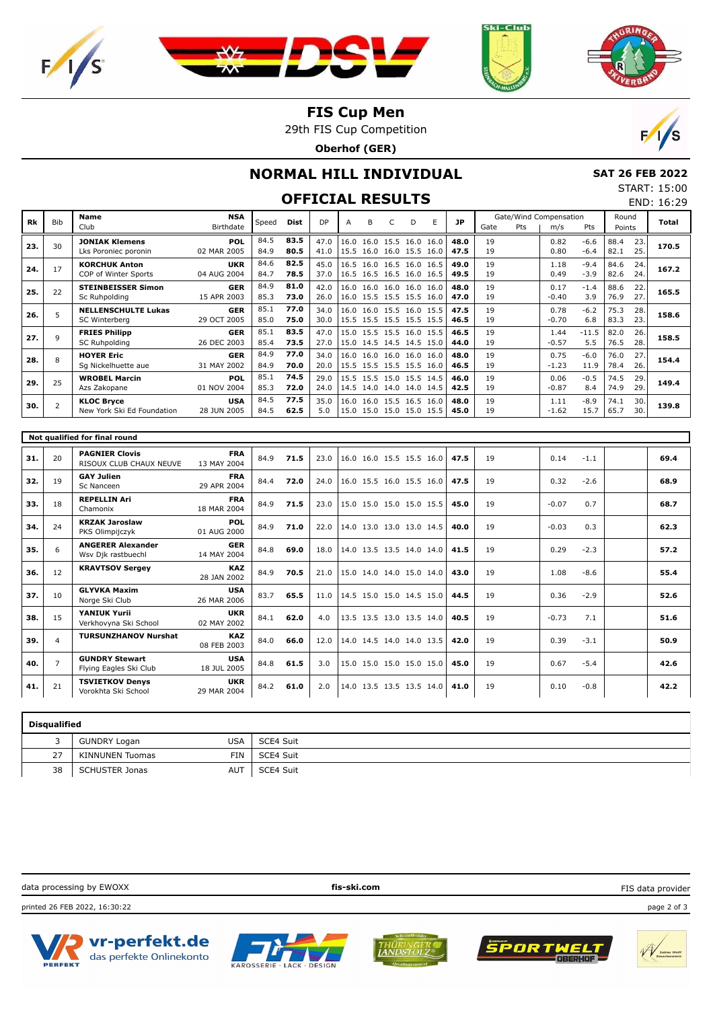







#### **FIS Cup Men**

29th FIS Cup Competition

**Oberhof (GER)**



# **NORMAL HILL INDIVIDUAL**

 **SAT 26 FEB 2022** START: 15:00 END: 16:29

#### **OFFICIAL RESULTS**

|     |                               | <b>Name</b>                                      | <b>NSA</b>                |              |              |              |   |   |                                                      |   |   |              |          |     | Gate/Wind Compensation |                  | Round        |            |       |
|-----|-------------------------------|--------------------------------------------------|---------------------------|--------------|--------------|--------------|---|---|------------------------------------------------------|---|---|--------------|----------|-----|------------------------|------------------|--------------|------------|-------|
| Rk  | <b>Bib</b>                    | Club                                             | Birthdate                 | Speed        | Dist         | <b>DP</b>    | A | B | C                                                    | D | E | <b>JP</b>    | Gate     | Pts | m/s                    | Pts              | Points       |            | Total |
| 23. | 30                            | <b>JONIAK Klemens</b><br>Lks Poroniec poronin    | POL<br>02 MAR 2005        | 84.5<br>84.9 | 83.5<br>80.5 | 47.0<br>41.0 |   |   | 16.0 16.0 15.5 16.0 16.0<br>15.5 16.0 16.0 15.5 16.0 |   |   | 48.0<br>47.5 | 19<br>19 |     | 0.82<br>0.80           | $-6.6$<br>$-6.4$ | 88.4<br>82.1 | 23.<br>25. | 170.5 |
| 24. | 17                            | <b>KORCHUK Anton</b><br>COP of Winter Sports     | <b>UKR</b><br>04 AUG 2004 | 84.6<br>84.7 | 82.5<br>78.5 | 45.0<br>37.0 |   |   | 16.5 16.0 16.5 16.0 16.5<br>16.5 16.5 16.5 16.0 16.5 |   |   | 49.0<br>49.5 | 19<br>19 |     | 1.18<br>0.49           | $-9.4$<br>$-3.9$ | 84.6<br>82.6 | 24.<br>24. | 167.2 |
| 25. | 22                            | <b>STEINBEISSER Simon</b><br>Sc Ruhpolding       | <b>GER</b><br>15 APR 2003 | 84.9<br>85.3 | 81.0<br>73.0 | 42.0<br>26.0 |   |   | 16.0 16.0 16.0 16.0 16.0<br>16.0 15.5 15.5 15.5 16.0 |   |   | 48.0<br>47.0 | 19<br>19 |     | 0.17<br>$-0.40$        | $-1.4$<br>3.9    | 88.6<br>76.9 | 22.<br>27. | 165.5 |
| 26. | 5                             | <b>NELLENSCHULTE Lukas</b><br>SC Winterberg      | <b>GER</b><br>29 OCT 2005 | 85.1<br>85.0 | 77.0<br>75.0 | 34.0<br>30.0 |   |   | 16.0 16.0 15.5 16.0 15.5<br>15.5 15.5 15.5 15.5 15.5 |   |   | 47.5<br>46.5 | 19<br>19 |     | 0.78<br>$-0.70$        | $-6.2$<br>6.8    | 75.3<br>83.3 | 28.<br>23. | 158.6 |
| 27. | 9                             | <b>FRIES Philipp</b><br>SC Ruhpolding            | <b>GER</b><br>26 DEC 2003 | 85.1<br>85.4 | 83.5<br>73.5 | 47.0<br>27.0 |   |   | 15.0 15.5 15.5 16.0 15.5<br>15.0 14.5 14.5 14.5 15.0 |   |   | 46.5<br>44.0 | 19<br>19 |     | 1.44<br>$-0.57$        | $-11.5$<br>5.5   | 82.0<br>76.5 | 26.<br>28. | 158.5 |
| 28. | 8                             | <b>HOYER Eric</b><br>Sq Nickelhuette aue         | <b>GER</b><br>31 MAY 2002 | 84.9<br>84.9 | 77.0<br>70.0 | 34.0<br>20.0 |   |   | 16.0 16.0 16.0 16.0 16.0<br>15.5 15.5 15.5 15.5 16.0 |   |   | 48.0<br>46.5 | 19<br>19 |     | 0.75<br>$-1.23$        | $-6.0$<br>11.9   | 76.0<br>78.4 | 27.<br>26. | 154.4 |
| 29. | 25                            | <b>WROBEL Marcin</b><br>Azs Zakopane             | POL<br>01 NOV 2004        | 85.1<br>85.3 | 74.5<br>72.0 | 29.0<br>24.0 |   |   | 15.5 15.5 15.0 15.5 14.5<br>14.5 14.0 14.0 14.0 14.5 |   |   | 46.0<br>42.5 | 19<br>19 |     | 0.06<br>$-0.87$        | $-0.5$<br>8.4    | 74.5<br>74.9 | 29.<br>29  | 149.4 |
| 30. | $\overline{2}$                | <b>KLOC Bryce</b><br>New York Ski Ed Foundation  | <b>USA</b><br>28 JUN 2005 | 84.5<br>84.5 | 77.5<br>62.5 | 35.0<br>5.0  |   |   | 16.0 16.0 15.5 16.5 16.0<br>15.0 15.0 15.0 15.0 15.5 |   |   | 48.0<br>45.0 | 19<br>19 |     | 1.11<br>$-1.62$        | $-8.9$<br>15.7   | 74.1<br>65.7 | 30.<br>30. | 139.8 |
|     | Not qualified for final round |                                                  |                           |              |              |              |   |   |                                                      |   |   |              |          |     |                        |                  |              |            |       |
|     |                               |                                                  |                           |              |              |              |   |   |                                                      |   |   |              |          |     |                        |                  |              |            |       |
| 31. | 20                            | <b>PAGNIER Clovis</b><br>RISOUX CLUB CHAUX NEUVE | <b>FRA</b><br>13 MAY 2004 | 84.9         | 71.5         | 23.0         |   |   | 16.0 16.0 15.5 15.5 16.0                             |   |   | 47.5         | 19       |     | 0.14                   | $-1.1$           |              |            | 69.4  |
| 32. | 19                            | <b>GAY Julien</b><br>Sc Nanceen                  | <b>FRA</b><br>29 APR 2004 | 84.4         | 72.0         | 24.0         |   |   | 16.0 15.5 16.0 15.5 16.0                             |   |   | 47.5         | 19       |     | 0.32                   | $-2.6$           |              |            | 68.9  |
| 33. | 18                            | <b>REPELLIN Ari</b><br>Chamonix                  | <b>FRA</b><br>18 MAR 2004 | 84.9         | 71.5         | 23.0         |   |   | 15.0 15.0 15.0 15.0 15.5                             |   |   | 45.0         | 19       |     | $-0.07$                | 0.7              |              |            | 68.7  |
| 34. | 24                            | <b>KRZAK Jaroslaw</b><br>PKS Olimpijczyk         | POL<br>01 AUG 2000        | 84.9         | 71.0         | 22.0         |   |   | 14.0 13.0 13.0 13.0 14.5                             |   |   | 40.0         | 19       |     | $-0.03$                | 0.3              |              |            | 62.3  |
| 35. | 6                             | <b>ANGERER Alexander</b><br>Wsv Djk rastbuechl   | <b>GER</b><br>14 MAY 2004 | 84.8         | 69.0         | 18.0         |   |   | 14.0 13.5 13.5 14.0 14.0                             |   |   | 41.5         | 19       |     | 0.29                   | $-2.3$           |              |            | 57.2  |
| 36. | 12                            | <b>KRAVTSOV Sergey</b>                           | <b>KAZ</b><br>28 JAN 2002 | 84.9         | 70.5         | 21.0         |   |   | 15.0 14.0 14.0 15.0 14.0                             |   |   | 43.0         | 19       |     | 1.08                   | $-8.6$           |              |            | 55.4  |
| 37. | 10                            | <b>GLYVKA Maxim</b><br>Norge Ski Club            | <b>USA</b><br>26 MAR 2006 | 83.7         | 65.5         | 11.0         |   |   | 14.5 15.0 15.0 14.5 15.0                             |   |   | 44.5         | 19       |     | 0.36                   | $-2.9$           |              |            | 52.6  |
| 38. | 15                            | YANIUK Yurii<br>Verkhovyna Ski School            | <b>UKR</b><br>02 MAY 2002 | 84.1         | 62.0         | 4.0          |   |   | 13.5 13.5 13.0 13.5 14.0                             |   |   | 40.5         | 19       |     | $-0.73$                | 7.1              |              |            | 51.6  |
| 39. | $\overline{4}$                | <b>TURSUNZHANOV Nurshat</b>                      | <b>KAZ</b><br>08 FEB 2003 | 84.0         | 66.0         | 12.0         |   |   | 14.0 14.5 14.0 14.0 13.5                             |   |   | 42.0         | 19       |     | 0.39                   | $-3.1$           |              |            | 50.9  |
| 40. | $\overline{7}$                | <b>GUNDRY Stewart</b><br>Flying Eagles Ski Club  | <b>USA</b><br>18 JUL 2005 | 84.8         | 61.5         | 3.0          |   |   | 15.0 15.0 15.0 15.0 15.0                             |   |   | 45.0         | 19       |     | 0.67                   | $-5.4$           |              |            | 42.6  |

|    | <b>Disqualified</b>   |            |           |  |  |  |  |  |  |  |  |  |  |  |
|----|-----------------------|------------|-----------|--|--|--|--|--|--|--|--|--|--|--|
|    | <b>GUNDRY Logan</b>   | USA        | SCE4 Suit |  |  |  |  |  |  |  |  |  |  |  |
| 27 | KINNUNEN Tuomas       | <b>FIN</b> | SCE4 Suit |  |  |  |  |  |  |  |  |  |  |  |
| 38 | <b>SCHUSTER Jonas</b> | <b>AUT</b> | SCE4 Suit |  |  |  |  |  |  |  |  |  |  |  |

Vorokhta Ski School 29 MAR 2004 **41.** <sup>21</sup> 84.2 **61.0** 2.0 14.0 13.5 13.5 13.5 14.0 **41.0** 19 0.10 -0.8 **42.2**

data processing by EWOXX **fis-ski.com** printed 26 FEB 2022, 16:30:22 page 2 of 3 FIS data provider



**TSVIETKOV Denys**

**UKR**<br>29 MAR 2004